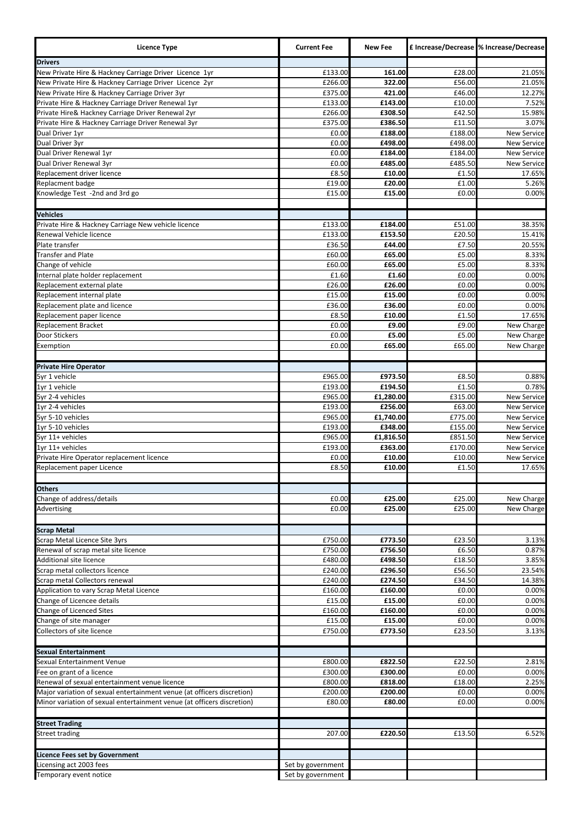| <b>Licence Type</b>                                                    | <b>Current Fee</b> | <b>New Fee</b>       |                    | £ Increase/Decrease % Increase/Decrease  |
|------------------------------------------------------------------------|--------------------|----------------------|--------------------|------------------------------------------|
| <b>Drivers</b>                                                         |                    |                      |                    |                                          |
| New Private Hire & Hackney Carriage Driver Licence 1yr                 | £133.00            | 161.00               | £28.00             | 21.05%                                   |
| New Private Hire & Hackney Carriage Driver Licence 2yr                 | £266.00            | 322.00               | £56.00             | 21.05%                                   |
| New Private Hire & Hackney Carriage Driver 3yr                         | £375.00            | 421.00               | £46.00             | 12.27%                                   |
| Private Hire & Hackney Carriage Driver Renewal 1yr                     | £133.00            | £143.00              | £10.00             | 7.52%                                    |
| Private Hire& Hackney Carriage Driver Renewal 2yr                      | £266.00            | £308.50              | £42.50             | 15.98%                                   |
| Private Hire & Hackney Carriage Driver Renewal 3yr                     | £375.00            | £386.50<br>£188.00   | £11.50             | 3.07%<br><b>New Service</b>              |
| Dual Driver 1yr<br>Dual Driver 3yr                                     | £0.00<br>£0.00     | £498.00              | £188.00<br>£498.00 | New Service                              |
| Dual Driver Renewal 1yr                                                | £0.00              | £184.00              | £184.00            | <b>New Service</b>                       |
| Dual Driver Renewal 3yr                                                | £0.00              | £485.00              | £485.50            | <b>New Service</b>                       |
| Replacement driver licence                                             | £8.50              | £10.00               | £1.50              | 17.65%                                   |
| Replacment badge                                                       | £19.00             | £20.00               | £1.00              | 5.26%                                    |
| Knowledge Test -2nd and 3rd go                                         | £15.00             | £15.00               | £0.00              | 0.00%                                    |
|                                                                        |                    |                      |                    |                                          |
| <b>Vehicles</b>                                                        |                    |                      |                    |                                          |
| Private Hire & Hackney Carriage New vehicle licence                    | £133.00            | £184.00              | £51.00             | 38.35%                                   |
| Renewal Vehicle licence                                                | £133.00            | £153.50              | £20.50             | 15.41%                                   |
| Plate transfer                                                         | £36.50             | £44.00               | £7.50              | 20.55%                                   |
| <b>Transfer and Plate</b>                                              | £60.00             | £65.00               | £5.00              | 8.33%                                    |
| Change of vehicle                                                      | £60.00             | £65.00               | £5.00              | 8.33%                                    |
| Internal plate holder replacement                                      | £1.60              | £1.60                | £0.00              | 0.00%                                    |
| Replacement external plate                                             | £26.00             | £26.00               | £0.00              | 0.00%                                    |
| Replacement internal plate                                             | £15.00             | £15.00               | £0.00              | 0.00%                                    |
| Replacement plate and licence                                          | £36.00             | £36.00               | £0.00              | 0.00%                                    |
| Replacement paper licence                                              | £8.50              | £10.00               | £1.50              | 17.65%                                   |
| <b>Replacement Bracket</b>                                             | £0.00              | £9.00                | £9.00              | New Charge                               |
| Door Stickers                                                          | £0.00              | £5.00                | £5.00              | New Charge                               |
| Exemption                                                              | £0.00              | £65.00               | £65.00             | New Charge                               |
|                                                                        |                    |                      |                    |                                          |
| <b>Private Hire Operator</b>                                           |                    |                      |                    |                                          |
| 5yr 1 vehicle                                                          | £965.00            | £973.50              | £8.50              | 0.88%                                    |
| 1yr 1 vehicle                                                          | £193.00            | £194.50              | £1.50              | 0.78%                                    |
| 5yr 2-4 vehicles                                                       | £965.00            | £1,280.00            | £315.00            | <b>New Service</b>                       |
| 1yr 2-4 vehicles                                                       | £193.00            | £256.00              | £63.00             | <b>New Service</b>                       |
| 5yr 5-10 vehicles                                                      | £965.00            | £1,740.00            | £775.00            | <b>New Service</b>                       |
| 1yr 5-10 vehicles                                                      | £193.00            | £348.00              | £155.00            | <b>New Service</b>                       |
| 5yr 11+ vehicles<br>1yr 11+ vehicles                                   | £965.00            | £1,816.50<br>£363.00 | £851.50<br>£170.00 | <b>New Service</b>                       |
| Private Hire Operator replacement licence                              | £193.00<br>£0.00   | £10.00               | £10.00             | <b>New Service</b><br><b>New Service</b> |
| Replacement paper Licence                                              | £8.50              | £10.00               | £1.50              | 17.65%                                   |
|                                                                        |                    |                      |                    |                                          |
| <b>Others</b>                                                          |                    |                      |                    |                                          |
| Change of address/details                                              | £0.00              | £25.00               | £25.00             | New Charge                               |
| Advertising                                                            | £0.00              | £25.00               | £25.00             | New Charge                               |
|                                                                        |                    |                      |                    |                                          |
| <b>Scrap Metal</b>                                                     |                    |                      |                    |                                          |
| <b>Scrap Metal Licence Site 3yrs</b>                                   | £750.00            | £773.50              | £23.50             | 3.13%                                    |
| Renewal of scrap metal site licence                                    | £750.00            | £756.50              | £6.50              | 0.87%                                    |
| Additional site licence                                                | £480.00            | £498.50              | £18.50             | 3.85%                                    |
| Scrap metal collectors licence                                         | £240.00            | £296.50              | £56.50             | 23.54%                                   |
| Scrap metal Collectors renewal                                         | £240.00            | £274.50              | £34.50             | 14.38%                                   |
| Application to vary Scrap Metal Licence                                | £160.00            | £160.00              | £0.00              | 0.00%                                    |
| Change of Licencee details                                             | £15.00             | £15.00               | £0.00              | 0.00%                                    |
| Change of Licenced Sites                                               | £160.00            | £160.00              | £0.00              | 0.00%                                    |
| Change of site manager                                                 | £15.00             | £15.00               | £0.00              | 0.00%                                    |
| Collectors of site licence                                             | £750.00            | £773.50              | £23.50             | 3.13%                                    |
|                                                                        |                    |                      |                    |                                          |
| <b>Sexual Entertainment</b>                                            |                    |                      |                    |                                          |
| Sexual Entertainment Venue                                             | £800.00            | £822.50              | £22.50             | 2.81%                                    |
| Fee on grant of a licence                                              | £300.00            | £300.00              | £0.00              | 0.00%                                    |
| Renewal of sexual entertainment venue licence                          | £800.00            | £818.00              | £18.00             | 2.25%                                    |
| Major variation of sexual entertainment venue (at officers discretion) | £200.00            | £200.00              | £0.00              | 0.00%                                    |
| Minor variation of sexual entertainment venue (at officers discretion) | £80.00             | £80.00               | £0.00              | 0.00%                                    |
|                                                                        |                    |                      |                    |                                          |
| <b>Street Trading</b>                                                  |                    |                      |                    |                                          |
| <b>Street trading</b>                                                  | 207.00             | £220.50              | £13.50             | 6.52%                                    |
|                                                                        |                    |                      |                    |                                          |
| <b>Licence Fees set by Government</b>                                  |                    |                      |                    |                                          |
| Licensing act 2003 fees                                                | Set by government  |                      |                    |                                          |
| Temporary event notice                                                 | Set by government  |                      |                    |                                          |